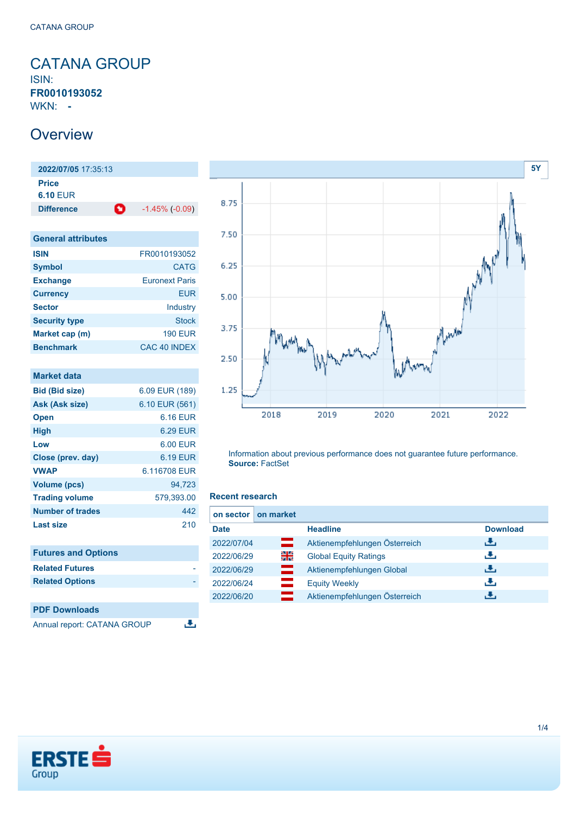<span id="page-0-0"></span>CATANA GROUP ISIN: **FR0010193052** WKN: **-**

### **Overview**

**2022/07/05** 17:35:13 **Price 6.10** EUR **Difference 1.45% (-0.09)** 

| <b>General attributes</b> |                       |  |  |
|---------------------------|-----------------------|--|--|
| <b>ISIN</b>               | FR0010193052          |  |  |
| <b>Symbol</b>             | <b>CATG</b>           |  |  |
| <b>Exchange</b>           | <b>Furonext Paris</b> |  |  |
| <b>Currency</b>           | <b>EUR</b>            |  |  |
| <b>Sector</b>             | Industry              |  |  |
| <b>Security type</b>      | Stock                 |  |  |
| Market cap (m)            | <b>190 EUR</b>        |  |  |
| <b>Benchmark</b>          | CAC 40 INDEX          |  |  |

| <b>Market data</b>         |                 |
|----------------------------|-----------------|
| <b>Bid (Bid size)</b>      | 6.09 EUR (189)  |
| Ask (Ask size)             | 6.10 EUR (561)  |
| <b>Open</b>                | 6.16 EUR        |
| <b>High</b>                | <b>6.29 EUR</b> |
| Low                        | 6.00 EUR        |
| Close (prev. day)          | 6.19 EUR        |
| <b>VWAP</b>                | 6.116708 EUR    |
| <b>Volume (pcs)</b>        | 94,723          |
| <b>Trading volume</b>      | 579,393.00      |
| Number of trades           | 442             |
| Last size                  | 210             |
| <b>Futures and Options</b> |                 |
| <b>Related Futures</b>     |                 |
| <b>Related Options</b>     |                 |
|                            |                 |
| <b>PDF Downloads</b>       |                 |



Information about previous performance does not guarantee future performance. **Source:** FactSet

### **Recent research**

医

|             | on sector on market |                               |                 |
|-------------|---------------------|-------------------------------|-----------------|
| <b>Date</b> |                     | <b>Headline</b>               | <b>Download</b> |
| 2022/07/04  | ▭                   | Aktienempfehlungen Österreich | æ,              |
| 2022/06/29  | 읡                   | <b>Global Equity Ratings</b>  | J.              |
| 2022/06/29  | ═                   | Aktienempfehlungen Global     | J.              |
| 2022/06/24  |                     | <b>Equity Weekly</b>          | J.              |
| 2022/06/20  |                     | Aktienempfehlungen Österreich | æ,              |



Annual report: CATANA GROUP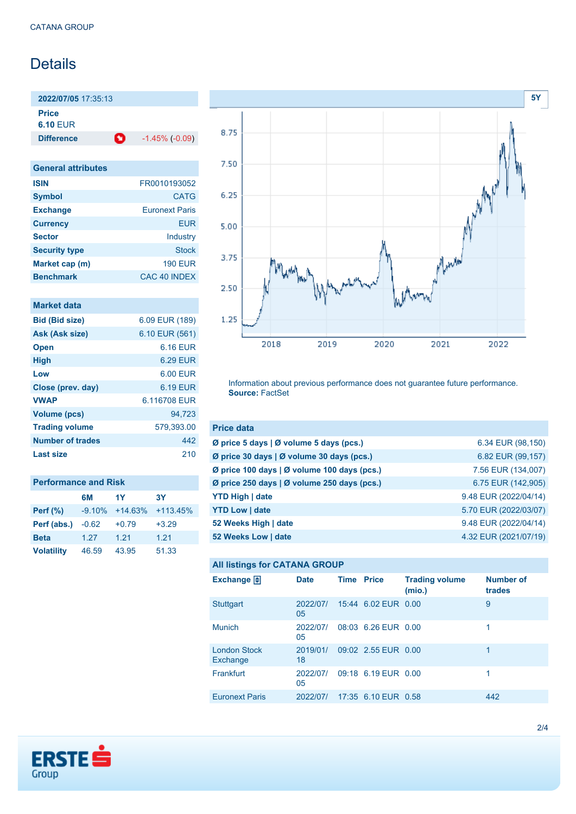## **Details**

**2022/07/05** 17:35:13

**Price 6.10** EUR

**Difference 1.45% (-0.09)** 

| <b>General attributes</b> |                       |  |  |
|---------------------------|-----------------------|--|--|
| <b>ISIN</b>               | FR0010193052          |  |  |
| <b>Symbol</b>             | <b>CATG</b>           |  |  |
| <b>Exchange</b>           | <b>Euronext Paris</b> |  |  |
| <b>Currency</b>           | <b>EUR</b>            |  |  |
| <b>Sector</b>             | Industry              |  |  |
| <b>Security type</b>      | Stock                 |  |  |
| Market cap (m)            | <b>190 EUR</b>        |  |  |
| <b>Benchmark</b>          | CAC 40 INDEX          |  |  |

| Market data             |                |
|-------------------------|----------------|
| <b>Bid (Bid size)</b>   | 6.09 EUR (189) |
| Ask (Ask size)          | 6.10 EUR (561) |
| <b>Open</b>             | 6.16 FUR       |
| <b>High</b>             | 6.29 EUR       |
| Low                     | 6.00 EUR       |
| Close (prev. day)       | 6.19 EUR       |
| <b>VWAP</b>             | 6.116708 EUR   |
| <b>Volume (pcs)</b>     | 94.723         |
| <b>Trading volume</b>   | 579,393.00     |
| <b>Number of trades</b> | 442            |
| Last size               | 210            |

| <b>Performance and Risk</b> |          |           |            |
|-----------------------------|----------|-----------|------------|
|                             | 6M       | 1Y        | 3Υ         |
| <b>Perf</b> (%)             | $-9.10%$ | $+14.63%$ | $+113.45%$ |
| Perf (abs.)                 | $-0.62$  | $+0.79$   | $+3.29$    |
| <b>Beta</b>                 | 1.27     | 1.21      | 1.21       |
| <b>Volatility</b>           | 46.59    | 43.95     | 51.33      |



Information about previous performance does not guarantee future performance. **Source:** FactSet

| <b>Price data</b>                                         |                       |
|-----------------------------------------------------------|-----------------------|
| $\emptyset$ price 5 days $\emptyset$ volume 5 days (pcs.) | 6.34 EUR (98,150)     |
| Ø price 30 days   Ø volume 30 days (pcs.)                 | 6.82 EUR (99,157)     |
| Ø price 100 days   Ø volume 100 days (pcs.)               | 7.56 EUR (134,007)    |
| Ø price 250 days   Ø volume 250 days (pcs.)               | 6.75 EUR (142,905)    |
| <b>YTD High   date</b>                                    | 9.48 EUR (2022/04/14) |
| <b>YTD Low   date</b>                                     | 5.70 EUR (2022/03/07) |
| 52 Weeks High   date                                      | 9.48 EUR (2022/04/14) |
| 52 Weeks Low   date                                       | 4.32 EUR (2021/07/19) |

### **All listings for CATANA GROUP**

| Exchange $\bigoplus$            | <b>Date</b>    | <b>Time Price</b> |                     | <b>Trading volume</b><br>(mio.) | <b>Number of</b><br>trades |
|---------------------------------|----------------|-------------------|---------------------|---------------------------------|----------------------------|
| <b>Stuttgart</b>                | 2022/07/<br>05 |                   | 15:44 6.02 EUR 0.00 |                                 | 9                          |
| <b>Munich</b>                   | 2022/07/<br>05 |                   | 08:03 6.26 EUR 0.00 |                                 | 1                          |
| <b>London Stock</b><br>Exchange | 2019/01/<br>18 |                   | 09:02 2.55 EUR 0.00 |                                 | 1                          |
| Frankfurt                       | 2022/07/<br>05 |                   | 09:18 6.19 EUR 0.00 |                                 | 1                          |
| <b>Euronext Paris</b>           | 2022/07/       |                   | 17:35 6.10 EUR 0.58 |                                 | 442                        |

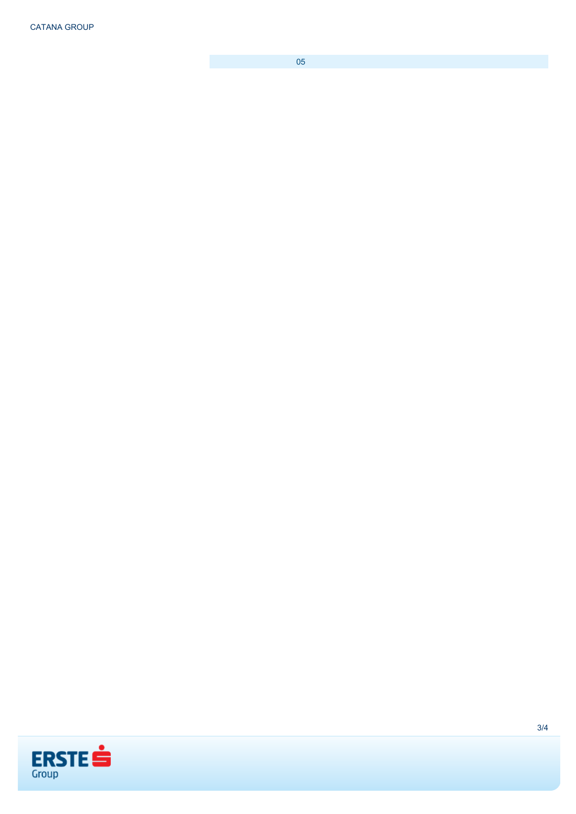CATANA GROUP

05